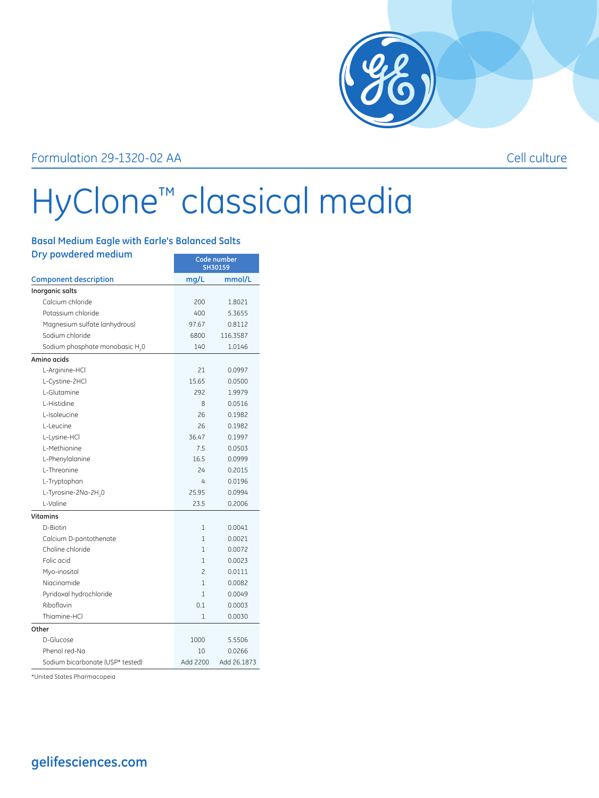

## Formulation 29-1320-02 AA Cell culture

## HyClone™ classical media

## **Basal Medium Eagle with Earle's Balanced Salts**

| Dry powdered medium                         | Code number<br>SH30159   |             |
|---------------------------------------------|--------------------------|-------------|
| <b>Component description</b>                | mg/L                     | mmol/L      |
| Inorganic salts                             |                          |             |
| Calcium chloride                            | 200                      | 1.8021      |
| Potassium chloride                          | 400                      | 5.3655      |
| Magnesium sulfate (anhydrous)               | 97.67                    | 0.8112      |
| Sodium chloride                             | 6800                     | 116.3587    |
| Sodium phosphate monobasic H <sub>2</sub> 0 | 140                      | 1.0146      |
| Amino acids                                 |                          |             |
| L-Arginine-HCl                              | 21                       | 0.0997      |
| L-Cystine-2HCl                              | 15.65                    | 0.0500      |
| L-Glutamine                                 | 292                      | 1.9979      |
| L-Histidine                                 | 8                        | 0.0516      |
| L-Isoleucine                                | 26                       | 0.1982      |
| L-Leucine                                   | 26                       | 0.1982      |
| L-Lysine-HCl                                | 36.47                    | 0.1997      |
| L-Methionine                                | 7.5                      | 0.0503      |
| L-Phenylalanine                             | 16.5                     | 0.0999      |
| L-Threonine                                 | 24                       | 0.2015      |
| L-Tryptophan                                | 4                        | 0.0196      |
| L-Tyrosine-2Na-2H <sub>2</sub> 0            | 25.95                    | 0.0994      |
| L-Valine                                    | 23.5                     | 0.2006      |
| Vitamins                                    |                          |             |
| D-Biotin                                    | 1                        | 0.0041      |
| Calcium D-pantothenate                      | 1                        | 0.0021      |
| Choline chloride                            | 1                        | 0.0072      |
| Folic acid                                  | $\mathbf{1}$             | 0.0023      |
| Myo-inositol                                | $\overline{\mathcal{L}}$ | 0.0111      |
| Niacinamide                                 | $\mathbf{1}$             | 0.0082      |
| Pyridoxal hydrochloride                     | $\mathbf{1}$             | 0.0049      |
| Riboflavin                                  | 0.1                      | 0.0003      |
| Thiamine-HCl                                | 1                        | 0.0030      |
| Other                                       |                          |             |
| D-Glucose                                   | 1000                     | 5.5506      |
| Phenol red-Na                               | 10                       | 0.0266      |
| Sodium bicarbonate (USP* tested)            | Add 2200                 | Add 26.1873 |

\*United States Pharmacopeia

## **gelifesciences.com**